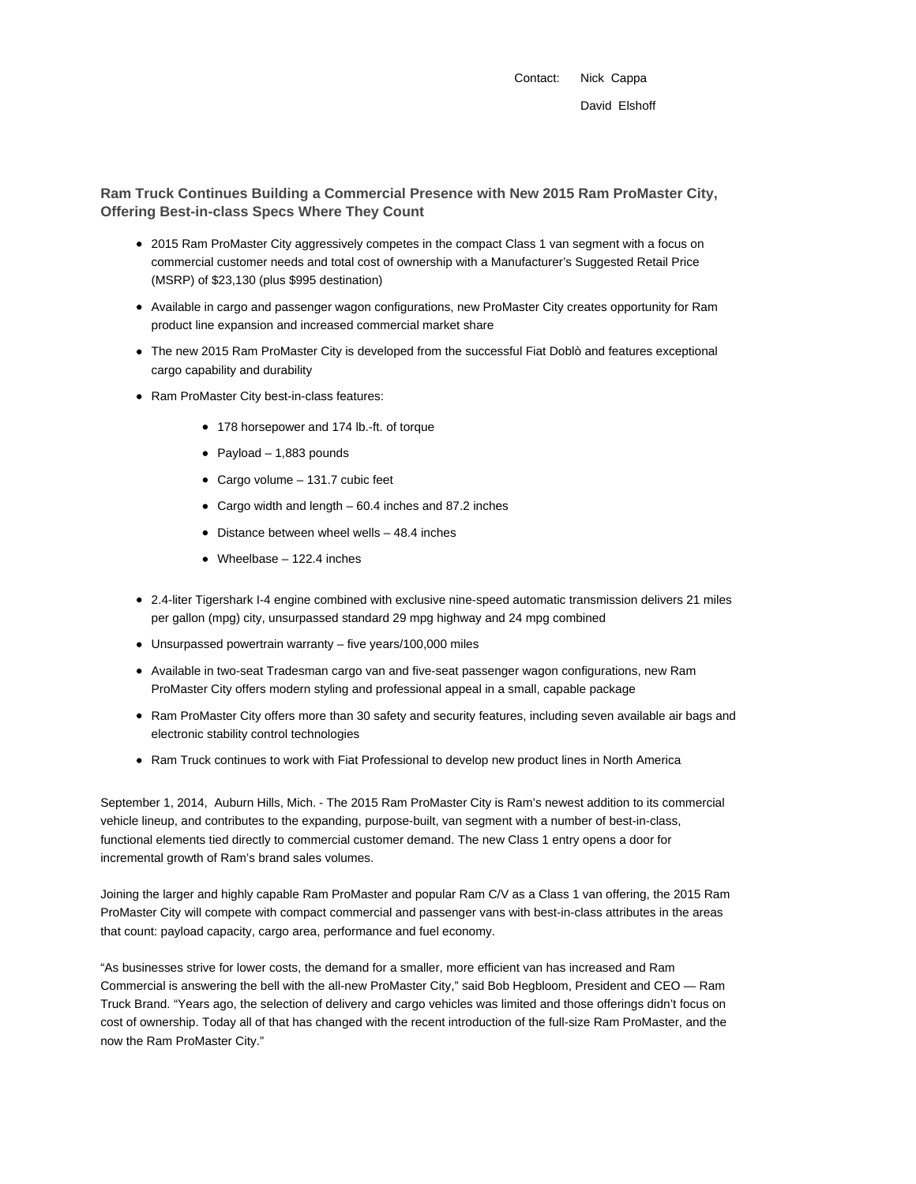Contact: Nick Cappa David Elshoff

**Ram Truck Continues Building a Commercial Presence with New 2015 Ram ProMaster City, Offering Best-in-class Specs Where They Count**

- 2015 Ram ProMaster City aggressively competes in the compact Class 1 van segment with a focus on commercial customer needs and total cost of ownership with a Manufacturer's Suggested Retail Price (MSRP) of \$23,130 (plus \$995 destination)
- Available in cargo and passenger wagon configurations, new ProMaster City creates opportunity for Ram product line expansion and increased commercial market share
- The new 2015 Ram ProMaster City is developed from the successful Fiat Doblò and features exceptional cargo capability and durability
- Ram ProMaster City best-in-class features:
	- 178 horsepower and 174 lb.-ft. of torque
	- $\bullet$  Payload 1,883 pounds
	- Cargo volume 131.7 cubic feet
	- Cargo width and length 60.4 inches and 87.2 inches
	- $\bullet$  Distance between wheel wells  $-48.4$  inches
	- Wheelbase 122.4 inches
- 2.4-liter Tigershark I-4 engine combined with exclusive nine-speed automatic transmission delivers 21 miles per gallon (mpg) city, unsurpassed standard 29 mpg highway and 24 mpg combined
- Unsurpassed powertrain warranty five years/100,000 miles
- Available in two-seat Tradesman cargo van and five-seat passenger wagon configurations, new Ram ProMaster City offers modern styling and professional appeal in a small, capable package
- Ram ProMaster City offers more than 30 safety and security features, including seven available air bags and electronic stability control technologies
- Ram Truck continues to work with Fiat Professional to develop new product lines in North America

September 1, 2014, Auburn Hills, Mich. - The 2015 Ram ProMaster City is Ram's newest addition to its commercial vehicle lineup, and contributes to the expanding, purpose-built, van segment with a number of best-in-class, functional elements tied directly to commercial customer demand. The new Class 1 entry opens a door for incremental growth of Ram's brand sales volumes.

Joining the larger and highly capable Ram ProMaster and popular Ram C/V as a Class 1 van offering, the 2015 Ram ProMaster City will compete with compact commercial and passenger vans with best-in-class attributes in the areas that count: payload capacity, cargo area, performance and fuel economy.

"As businesses strive for lower costs, the demand for a smaller, more efficient van has increased and Ram Commercial is answering the bell with the all-new ProMaster City," said Bob Hegbloom, President and CEO — Ram Truck Brand. "Years ago, the selection of delivery and cargo vehicles was limited and those offerings didn't focus on cost of ownership. Today all of that has changed with the recent introduction of the full-size Ram ProMaster, and the now the Ram ProMaster City."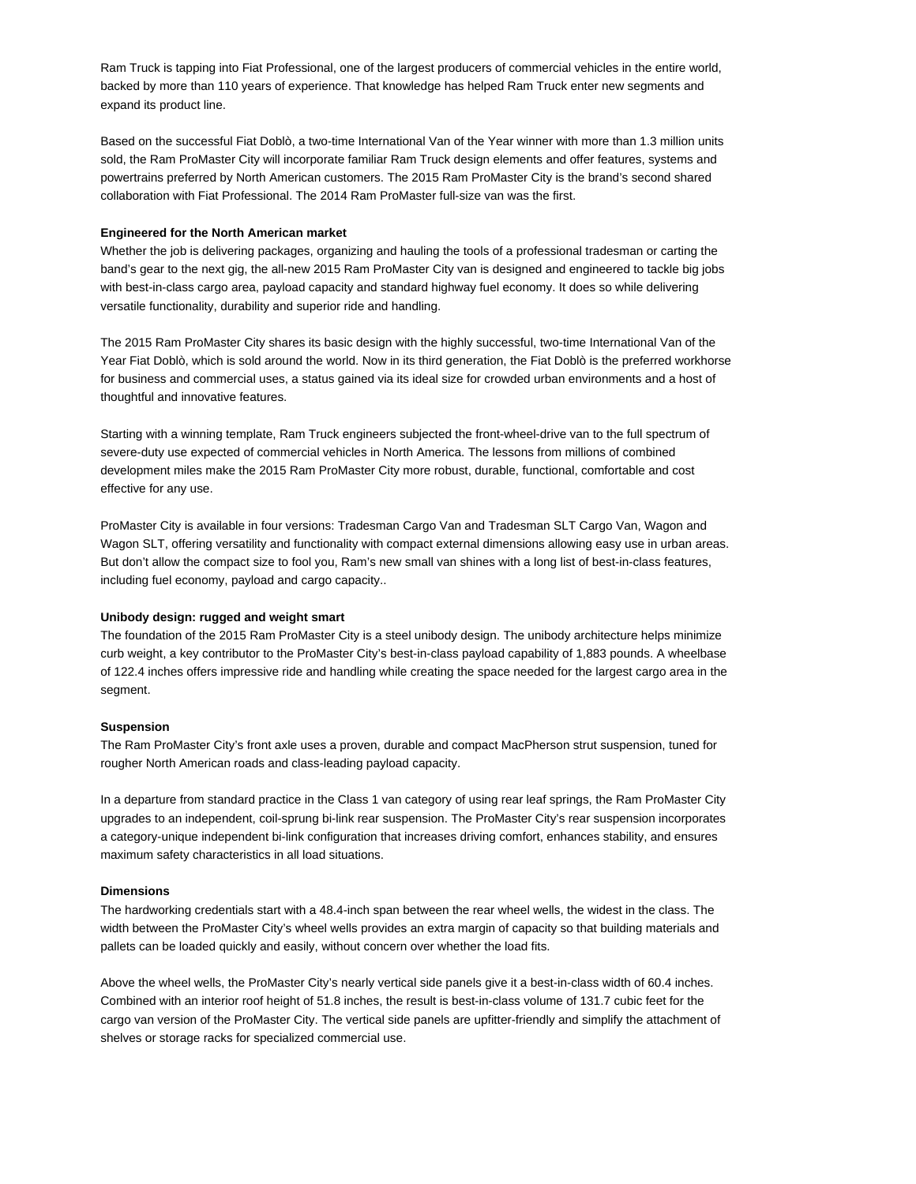Ram Truck is tapping into Fiat Professional, one of the largest producers of commercial vehicles in the entire world, backed by more than 110 years of experience. That knowledge has helped Ram Truck enter new segments and expand its product line.

Based on the successful Fiat Doblò, a two-time International Van of the Year winner with more than 1.3 million units sold, the Ram ProMaster City will incorporate familiar Ram Truck design elements and offer features, systems and powertrains preferred by North American customers. The 2015 Ram ProMaster City is the brand's second shared collaboration with Fiat Professional. The 2014 Ram ProMaster full-size van was the first.

### **Engineered for the North American market**

Whether the job is delivering packages, organizing and hauling the tools of a professional tradesman or carting the band's gear to the next gig, the all-new 2015 Ram ProMaster City van is designed and engineered to tackle big jobs with best-in-class cargo area, payload capacity and standard highway fuel economy. It does so while delivering versatile functionality, durability and superior ride and handling.

The 2015 Ram ProMaster City shares its basic design with the highly successful, two-time International Van of the Year Fiat Doblò, which is sold around the world. Now in its third generation, the Fiat Doblò is the preferred workhorse for business and commercial uses, a status gained via its ideal size for crowded urban environments and a host of thoughtful and innovative features.

Starting with a winning template, Ram Truck engineers subjected the front-wheel-drive van to the full spectrum of severe-duty use expected of commercial vehicles in North America. The lessons from millions of combined development miles make the 2015 Ram ProMaster City more robust, durable, functional, comfortable and cost effective for any use.

ProMaster City is available in four versions: Tradesman Cargo Van and Tradesman SLT Cargo Van, Wagon and Wagon SLT, offering versatility and functionality with compact external dimensions allowing easy use in urban areas. But don't allow the compact size to fool you, Ram's new small van shines with a long list of best-in-class features, including fuel economy, payload and cargo capacity..

# **Unibody design: rugged and weight smart**

The foundation of the 2015 Ram ProMaster City is a steel unibody design. The unibody architecture helps minimize curb weight, a key contributor to the ProMaster City's best-in-class payload capability of 1,883 pounds. A wheelbase of 122.4 inches offers impressive ride and handling while creating the space needed for the largest cargo area in the segment.

## **Suspension**

The Ram ProMaster City's front axle uses a proven, durable and compact MacPherson strut suspension, tuned for rougher North American roads and class-leading payload capacity.

In a departure from standard practice in the Class 1 van category of using rear leaf springs, the Ram ProMaster City upgrades to an independent, coil-sprung bi-link rear suspension. The ProMaster City's rear suspension incorporates a category-unique independent bi-link configuration that increases driving comfort, enhances stability, and ensures maximum safety characteristics in all load situations.

#### **Dimensions**

The hardworking credentials start with a 48.4-inch span between the rear wheel wells, the widest in the class. The width between the ProMaster City's wheel wells provides an extra margin of capacity so that building materials and pallets can be loaded quickly and easily, without concern over whether the load fits.

Above the wheel wells, the ProMaster City's nearly vertical side panels give it a best-in-class width of 60.4 inches. Combined with an interior roof height of 51.8 inches, the result is best-in-class volume of 131.7 cubic feet for the cargo van version of the ProMaster City. The vertical side panels are upfitter-friendly and simplify the attachment of shelves or storage racks for specialized commercial use.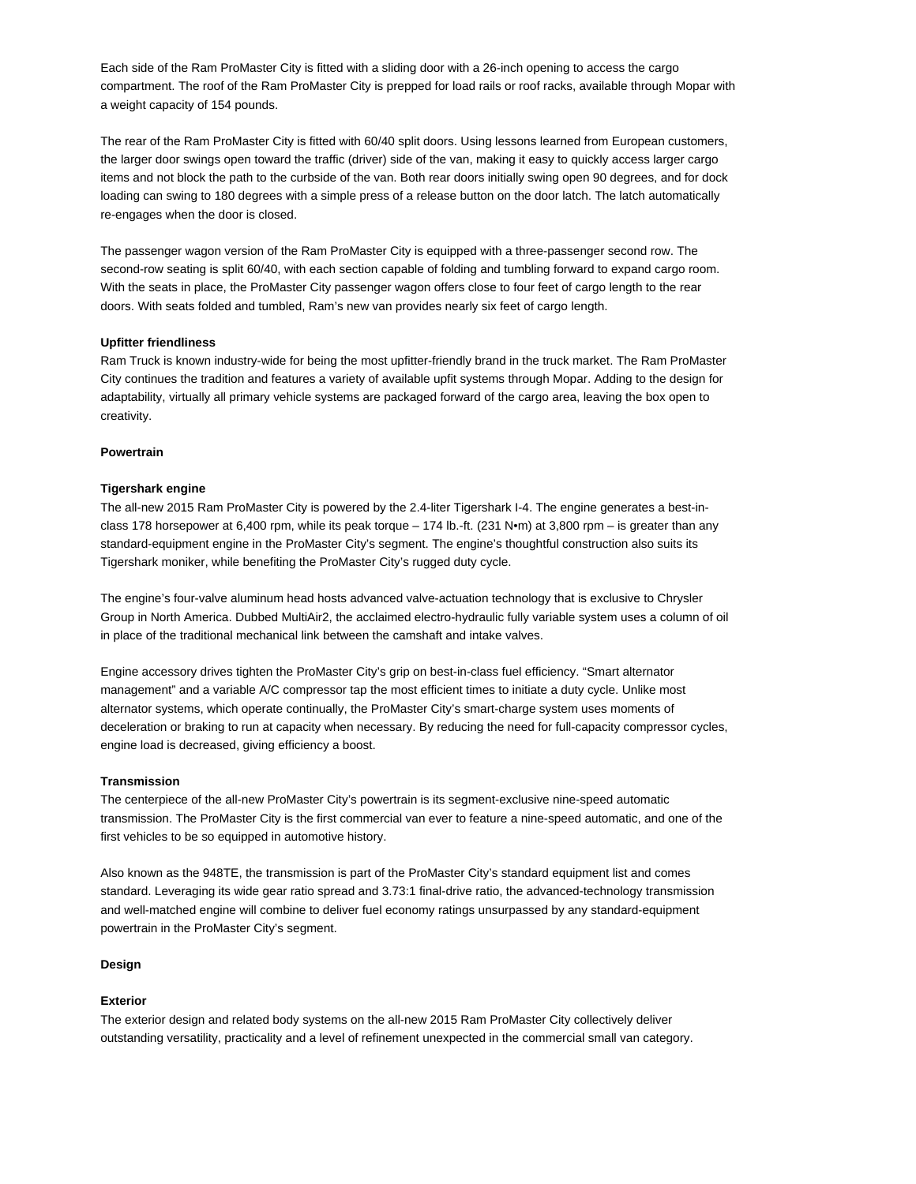Each side of the Ram ProMaster City is fitted with a sliding door with a 26-inch opening to access the cargo compartment. The roof of the Ram ProMaster City is prepped for load rails or roof racks, available through Mopar with a weight capacity of 154 pounds.

The rear of the Ram ProMaster City is fitted with 60/40 split doors. Using lessons learned from European customers, the larger door swings open toward the traffic (driver) side of the van, making it easy to quickly access larger cargo items and not block the path to the curbside of the van. Both rear doors initially swing open 90 degrees, and for dock loading can swing to 180 degrees with a simple press of a release button on the door latch. The latch automatically re-engages when the door is closed.

The passenger wagon version of the Ram ProMaster City is equipped with a three-passenger second row. The second-row seating is split 60/40, with each section capable of folding and tumbling forward to expand cargo room. With the seats in place, the ProMaster City passenger wagon offers close to four feet of cargo length to the rear doors. With seats folded and tumbled, Ram's new van provides nearly six feet of cargo length.

### **Upfitter friendliness**

Ram Truck is known industry-wide for being the most upfitter-friendly brand in the truck market. The Ram ProMaster City continues the tradition and features a variety of available upfit systems through Mopar. Adding to the design for adaptability, virtually all primary vehicle systems are packaged forward of the cargo area, leaving the box open to creativity.

## **Powertrain**

### **Tigershark engine**

The all-new 2015 Ram ProMaster City is powered by the 2.4-liter Tigershark I-4. The engine generates a best-inclass 178 horsepower at 6,400 rpm, while its peak torque – 174 lb.-ft. (231 N•m) at 3,800 rpm – is greater than any standard-equipment engine in the ProMaster City's segment. The engine's thoughtful construction also suits its Tigershark moniker, while benefiting the ProMaster City's rugged duty cycle.

The engine's four-valve aluminum head hosts advanced valve-actuation technology that is exclusive to Chrysler Group in North America. Dubbed MultiAir2, the acclaimed electro-hydraulic fully variable system uses a column of oil in place of the traditional mechanical link between the camshaft and intake valves.

Engine accessory drives tighten the ProMaster City's grip on best-in-class fuel efficiency. "Smart alternator management" and a variable A/C compressor tap the most efficient times to initiate a duty cycle. Unlike most alternator systems, which operate continually, the ProMaster City's smart-charge system uses moments of deceleration or braking to run at capacity when necessary. By reducing the need for full-capacity compressor cycles, engine load is decreased, giving efficiency a boost.

#### **Transmission**

The centerpiece of the all-new ProMaster City's powertrain is its segment-exclusive nine-speed automatic transmission. The ProMaster City is the first commercial van ever to feature a nine-speed automatic, and one of the first vehicles to be so equipped in automotive history.

Also known as the 948TE, the transmission is part of the ProMaster City's standard equipment list and comes standard. Leveraging its wide gear ratio spread and 3.73:1 final-drive ratio, the advanced-technology transmission and well-matched engine will combine to deliver fuel economy ratings unsurpassed by any standard-equipment powertrain in the ProMaster City's segment.

## **Design**

## **Exterior**

The exterior design and related body systems on the all-new 2015 Ram ProMaster City collectively deliver outstanding versatility, practicality and a level of refinement unexpected in the commercial small van category.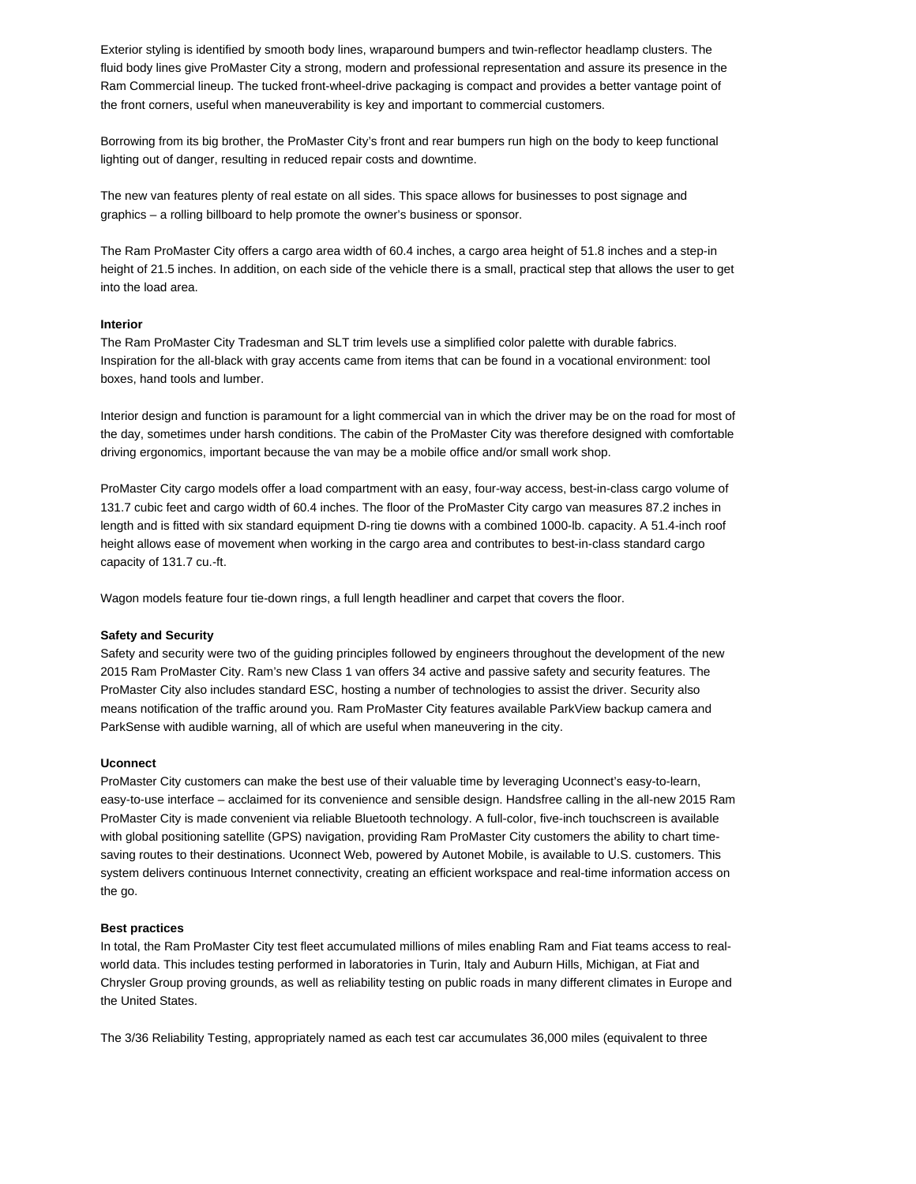Exterior styling is identified by smooth body lines, wraparound bumpers and twin-reflector headlamp clusters. The fluid body lines give ProMaster City a strong, modern and professional representation and assure its presence in the Ram Commercial lineup. The tucked front-wheel-drive packaging is compact and provides a better vantage point of the front corners, useful when maneuverability is key and important to commercial customers.

Borrowing from its big brother, the ProMaster City's front and rear bumpers run high on the body to keep functional lighting out of danger, resulting in reduced repair costs and downtime.

The new van features plenty of real estate on all sides. This space allows for businesses to post signage and graphics – a rolling billboard to help promote the owner's business or sponsor.

The Ram ProMaster City offers a cargo area width of 60.4 inches, a cargo area height of 51.8 inches and a step-in height of 21.5 inches. In addition, on each side of the vehicle there is a small, practical step that allows the user to get into the load area.

### **Interior**

The Ram ProMaster City Tradesman and SLT trim levels use a simplified color palette with durable fabrics. Inspiration for the all-black with gray accents came from items that can be found in a vocational environment: tool boxes, hand tools and lumber.

Interior design and function is paramount for a light commercial van in which the driver may be on the road for most of the day, sometimes under harsh conditions. The cabin of the ProMaster City was therefore designed with comfortable driving ergonomics, important because the van may be a mobile office and/or small work shop.

ProMaster City cargo models offer a load compartment with an easy, four-way access, best-in-class cargo volume of 131.7 cubic feet and cargo width of 60.4 inches. The floor of the ProMaster City cargo van measures 87.2 inches in length and is fitted with six standard equipment D-ring tie downs with a combined 1000-lb. capacity. A 51.4-inch roof height allows ease of movement when working in the cargo area and contributes to best-in-class standard cargo capacity of 131.7 cu.-ft.

Wagon models feature four tie-down rings, a full length headliner and carpet that covers the floor.

#### **Safety and Security**

Safety and security were two of the guiding principles followed by engineers throughout the development of the new 2015 Ram ProMaster City. Ram's new Class 1 van offers 34 active and passive safety and security features. The ProMaster City also includes standard ESC, hosting a number of technologies to assist the driver. Security also means notification of the traffic around you. Ram ProMaster City features available ParkView backup camera and ParkSense with audible warning, all of which are useful when maneuvering in the city.

# **Uconnect**

ProMaster City customers can make the best use of their valuable time by leveraging Uconnect's easy-to-learn, easy-to-use interface – acclaimed for its convenience and sensible design. Handsfree calling in the all-new 2015 Ram ProMaster City is made convenient via reliable Bluetooth technology. A full-color, five-inch touchscreen is available with global positioning satellite (GPS) navigation, providing Ram ProMaster City customers the ability to chart timesaving routes to their destinations. Uconnect Web, powered by Autonet Mobile, is available to U.S. customers. This system delivers continuous Internet connectivity, creating an efficient workspace and real-time information access on the go.

## **Best practices**

In total, the Ram ProMaster City test fleet accumulated millions of miles enabling Ram and Fiat teams access to realworld data. This includes testing performed in laboratories in Turin, Italy and Auburn Hills, Michigan, at Fiat and Chrysler Group proving grounds, as well as reliability testing on public roads in many different climates in Europe and the United States.

The 3/36 Reliability Testing, appropriately named as each test car accumulates 36,000 miles (equivalent to three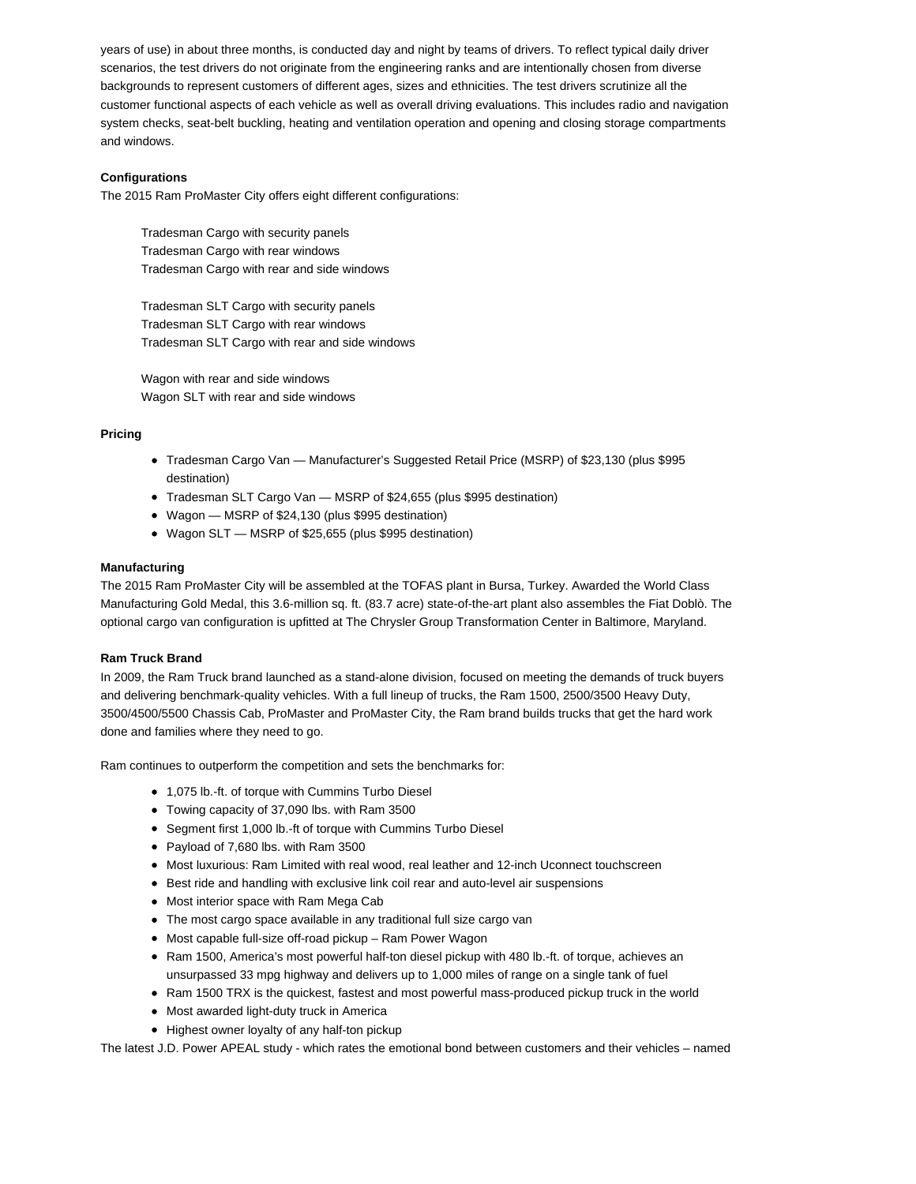years of use) in about three months, is conducted day and night by teams of drivers. To reflect typical daily driver scenarios, the test drivers do not originate from the engineering ranks and are intentionally chosen from diverse backgrounds to represent customers of different ages, sizes and ethnicities. The test drivers scrutinize all the customer functional aspects of each vehicle as well as overall driving evaluations. This includes radio and navigation system checks, seat-belt buckling, heating and ventilation operation and opening and closing storage compartments and windows.

# **Configurations**

The 2015 Ram ProMaster City offers eight different configurations:

Tradesman Cargo with security panels Tradesman Cargo with rear windows Tradesman Cargo with rear and side windows

Tradesman SLT Cargo with security panels Tradesman SLT Cargo with rear windows Tradesman SLT Cargo with rear and side windows

Wagon with rear and side windows Wagon SLT with rear and side windows

# **Pricing**

- Tradesman Cargo Van Manufacturer's Suggested Retail Price (MSRP) of \$23,130 (plus \$995 destination)
- Tradesman SLT Cargo Van MSRP of \$24,655 (plus \$995 destination)
- Wagon MSRP of \$24,130 (plus \$995 destination)
- Wagon SLT MSRP of \$25,655 (plus \$995 destination)

# **Manufacturing**

The 2015 Ram ProMaster City will be assembled at the TOFAS plant in Bursa, Turkey. Awarded the World Class Manufacturing Gold Medal, this 3.6-million sq. ft. (83.7 acre) state-of-the-art plant also assembles the Fiat Doblò. The optional cargo van configuration is upfitted at The Chrysler Group Transformation Center in Baltimore, Maryland.

# **Ram Truck Brand**

In 2009, the Ram Truck brand launched as a stand-alone division, focused on meeting the demands of truck buyers and delivering benchmark-quality vehicles. With a full lineup of trucks, the Ram 1500, 2500/3500 Heavy Duty, 3500/4500/5500 Chassis Cab, ProMaster and ProMaster City, the Ram brand builds trucks that get the hard work done and families where they need to go.

Ram continues to outperform the competition and sets the benchmarks for:

- 1,075 lb.-ft. of torque with Cummins Turbo Diesel
- Towing capacity of 37,090 lbs. with Ram 3500
- Segment first 1,000 lb.-ft of torque with Cummins Turbo Diesel
- Payload of 7,680 lbs. with Ram 3500
- $\bullet$  Most luxurious: Ram Limited with real wood, real leather and 12-inch Uconnect touchscreen
- **Best ride and handling with exclusive link coil rear and auto-level air suspensions**
- Most interior space with Ram Mega Cab
- The most cargo space available in any traditional full size cargo van
- Most capable full-size off-road pickup Ram Power Wagon
- Ram 1500, America's most powerful half-ton diesel pickup with 480 lb.-ft. of torque, achieves an unsurpassed 33 mpg highway and delivers up to 1,000 miles of range on a single tank of fuel
- Ram 1500 TRX is the quickest, fastest and most powerful mass-produced pickup truck in the world
- Most awarded light-duty truck in America
- Highest owner loyalty of any half-ton pickup

The latest J.D. Power APEAL study - which rates the emotional bond between customers and their vehicles – named